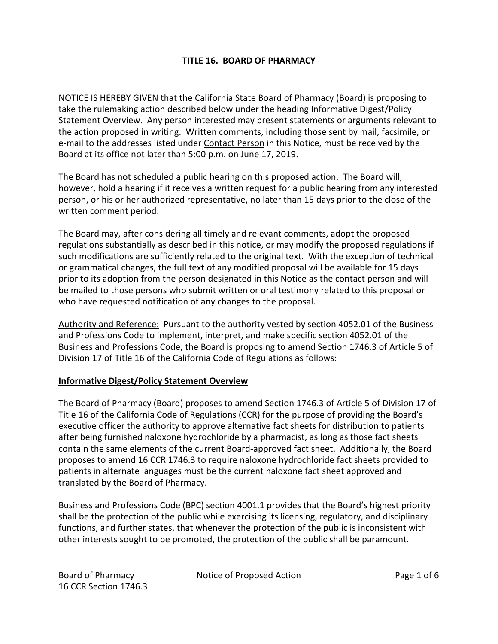# **TITLE 16. BOARD OF PHARMACY**

NOTICE IS HEREBY GIVEN that the California State Board of Pharmacy (Board) is proposing to take the rulemaking action described below under the heading Informative Digest/Policy Statement Overview. Any person interested may present statements or arguments relevant to the action proposed in writing. Written comments, including those sent by mail, facsimile, or e-mail to the addresses listed under Contact Person in this Notice, must be received by the Board at its office not later than 5:00 p.m. on June 17, 2019.

The Board has not scheduled a public hearing on this proposed action. The Board will, however, hold a hearing if it receives a written request for a public hearing from any interested person, or his or her authorized representative, no later than 15 days prior to the close of the written comment period.

The Board may, after considering all timely and relevant comments, adopt the proposed regulations substantially as described in this notice, or may modify the proposed regulations if such modifications are sufficiently related to the original text. With the exception of technical or grammatical changes, the full text of any modified proposal will be available for 15 days prior to its adoption from the person designated in this Notice as the contact person and will be mailed to those persons who submit written or oral testimony related to this proposal or who have requested notification of any changes to the proposal.

Authority and Reference: Pursuant to the authority vested by section 4052.01 of the Business and Professions Code to implement, interpret, and make specific section 4052.01 of the Business and Professions Code, the Board is proposing to amend Section 1746.3 of Article 5 of Division 17 of Title 16 of the California Code of Regulations as follows:

### **Informative Digest/Policy Statement Overview**

The Board of Pharmacy (Board) proposes to amend Section 1746.3 of Article 5 of Division 17 of Title 16 of the California Code of Regulations (CCR) for the purpose of providing the Board's executive officer the authority to approve alternative fact sheets for distribution to patients after being furnished naloxone hydrochloride by a pharmacist, as long as those fact sheets contain the same elements of the current Board-approved fact sheet. Additionally, the Board proposes to amend 16 CCR 1746.3 to require naloxone hydrochloride fact sheets provided to patients in alternate languages must be the current naloxone fact sheet approved and translated by the Board of Pharmacy.

Business and Professions Code (BPC) section 4001.1 provides that the Board's highest priority shall be the protection of the public while exercising its licensing, regulatory, and disciplinary functions, and further states, that whenever the protection of the public is inconsistent with other interests sought to be promoted, the protection of the public shall be paramount.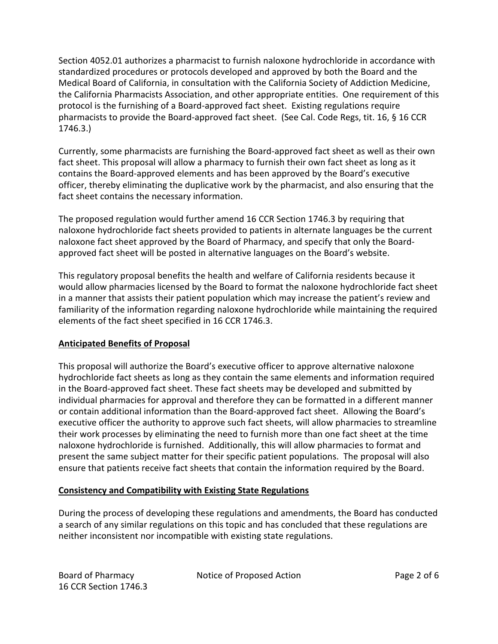Section 4052.01 authorizes a pharmacist to furnish naloxone hydrochloride in accordance with standardized procedures or protocols developed and approved by both the Board and the Medical Board of California, in consultation with the California Society of Addiction Medicine, the California Pharmacists Association, and other appropriate entities. One requirement of this protocol is the furnishing of a Board-approved fact sheet. Existing regulations require pharmacists to provide the Board-approved fact sheet. (See Cal. Code Regs, tit. 16, § 16 CCR 1746.3.)

Currently, some pharmacists are furnishing the Board-approved fact sheet as well as their own fact sheet. This proposal will allow a pharmacy to furnish their own fact sheet as long as it contains the Board-approved elements and has been approved by the Board's executive officer, thereby eliminating the duplicative work by the pharmacist, and also ensuring that the fact sheet contains the necessary information.

The proposed regulation would further amend 16 CCR Section 1746.3 by requiring that naloxone hydrochloride fact sheets provided to patients in alternate languages be the current naloxone fact sheet approved by the Board of Pharmacy, and specify that only the Boardapproved fact sheet will be posted in alternative languages on the Board's website.

This regulatory proposal benefits the health and welfare of California residents because it would allow pharmacies licensed by the Board to format the naloxone hydrochloride fact sheet in a manner that assists their patient population which may increase the patient's review and familiarity of the information regarding naloxone hydrochloride while maintaining the required elements of the fact sheet specified in 16 CCR 1746.3.

# **Anticipated Benefits of Proposal**

This proposal will authorize the Board's executive officer to approve alternative naloxone hydrochloride fact sheets as long as they contain the same elements and information required in the Board-approved fact sheet. These fact sheets may be developed and submitted by individual pharmacies for approval and therefore they can be formatted in a different manner or contain additional information than the Board-approved fact sheet. Allowing the Board's executive officer the authority to approve such fact sheets, will allow pharmacies to streamline their work processes by eliminating the need to furnish more than one fact sheet at the time naloxone hydrochloride is furnished. Additionally, this will allow pharmacies to format and present the same subject matter for their specific patient populations. The proposal will also ensure that patients receive fact sheets that contain the information required by the Board.

### **Consistency and Compatibility with Existing State Regulations**

During the process of developing these regulations and amendments, the Board has conducted a search of any similar regulations on this topic and has concluded that these regulations are neither inconsistent nor incompatible with existing state regulations.

Board of Pharmacy Notice of Proposed Action Page 2 of 6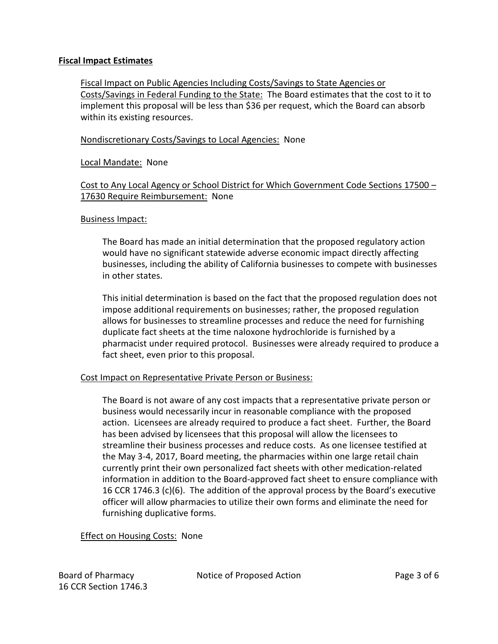### **Fiscal Impact Estimates**

Fiscal Impact on Public Agencies Including Costs/Savings to State Agencies or Costs/Savings in Federal Funding to the State: The Board estimates that the cost to it to implement this proposal will be less than \$36 per request, which the Board can absorb within its existing resources.

#### Nondiscretionary Costs/Savings to Local Agencies: None

#### Local Mandate: None

# Cost to Any Local Agency or School District for Which Government Code Sections 17500 – 17630 Require Reimbursement: None

#### Business Impact:

The Board has made an initial determination that the proposed regulatory action would have no significant statewide adverse economic impact directly affecting businesses, including the ability of California businesses to compete with businesses in other states.

This initial determination is based on the fact that the proposed regulation does not impose additional requirements on businesses; rather, the proposed regulation allows for businesses to streamline processes and reduce the need for furnishing duplicate fact sheets at the time naloxone hydrochloride is furnished by a pharmacist under required protocol. Businesses were already required to produce a fact sheet, even prior to this proposal.

#### Cost Impact on Representative Private Person or Business:

The Board is not aware of any cost impacts that a representative private person or business would necessarily incur in reasonable compliance with the proposed action. Licensees are already required to produce a fact sheet. Further, the Board has been advised by licensees that this proposal will allow the licensees to streamline their business processes and reduce costs. As one licensee testified at the May 3-4, 2017, Board meeting, the pharmacies within one large retail chain currently print their own personalized fact sheets with other medication-related information in addition to the Board-approved fact sheet to ensure compliance with 16 CCR 1746.3 (c)(6). The addition of the approval process by the Board's executive officer will allow pharmacies to utilize their own forms and eliminate the need for furnishing duplicative forms.

### **Effect on Housing Costs: None**

16 CCR Section 1746.3

Board of Pharmacy Notice of Proposed Action Page 3 of 6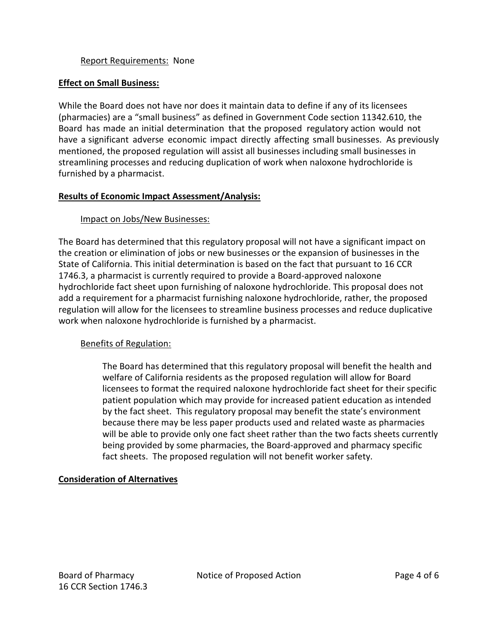### Report Requirements: None

### **Effect on Small Business:**

While the Board does not have nor does it maintain data to define if any of its licensees (pharmacies) are a "small business" as defined in Government Code section 11342.610, the Board has made an initial determination that the proposed regulatory action would not have a significant adverse economic impact directly affecting small businesses. As previously mentioned, the proposed regulation will assist all businesses including small businesses in streamlining processes and reducing duplication of work when naloxone hydrochloride is furnished by a pharmacist.

#### **Results of Economic Impact Assessment/Analysis:**

### Impact on Jobs/New Businesses:

The Board has determined that this regulatory proposal will not have a significant impact on the creation or elimination of jobs or new businesses or the expansion of businesses in the State of California. This initial determination is based on the fact that pursuant to 16 CCR 1746.3, a pharmacist is currently required to provide a Board-approved naloxone hydrochloride fact sheet upon furnishing of naloxone hydrochloride. This proposal does not add a requirement for a pharmacist furnishing naloxone hydrochloride, rather, the proposed regulation will allow for the licensees to streamline business processes and reduce duplicative work when naloxone hydrochloride is furnished by a pharmacist.

### Benefits of Regulation:

The Board has determined that this regulatory proposal will benefit the health and welfare of California residents as the proposed regulation will allow for Board licensees to format the required naloxone hydrochloride fact sheet for their specific patient population which may provide for increased patient education as intended by the fact sheet. This regulatory proposal may benefit the state's environment because there may be less paper products used and related waste as pharmacies will be able to provide only one fact sheet rather than the two facts sheets currently being provided by some pharmacies, the Board-approved and pharmacy specific fact sheets. The proposed regulation will not benefit worker safety.

### **Consideration of Alternatives**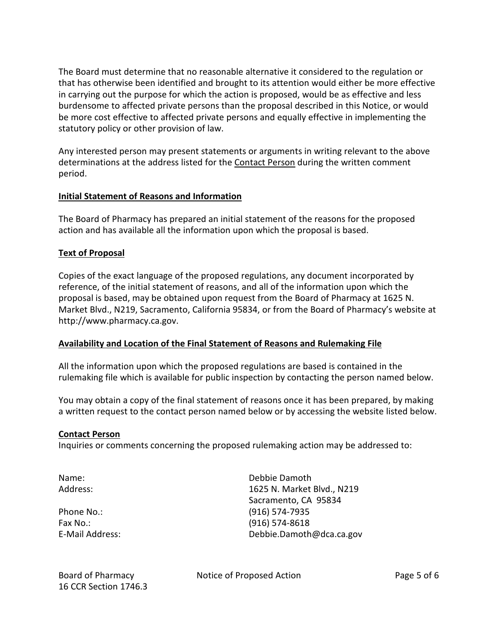The Board must determine that no reasonable alternative it considered to the regulation or that has otherwise been identified and brought to its attention would either be more effective in carrying out the purpose for which the action is proposed, would be as effective and less burdensome to affected private persons than the proposal described in this Notice, or would be more cost effective to affected private persons and equally effective in implementing the statutory policy or other provision of law.

Any interested person may present statements or arguments in writing relevant to the above determinations at the address listed for the Contact Person during the written comment period.

# **Initial Statement of Reasons and Information**

The Board of Pharmacy has prepared an initial statement of the reasons for the proposed action and has available all the information upon which the proposal is based.

# **Text of Proposal**

Copies of the exact language of the proposed regulations, any document incorporated by reference, of the initial statement of reasons, and all of the information upon which the proposal is based, may be obtained upon request from the Board of Pharmacy at 1625 N. Market Blvd., N219, Sacramento, California 95834, or from the Board of Pharmacy's website at [http://www.pharmacy.ca.gov.](http://www.pharmacy.ca.gov)

### **Availability and Location of the Final Statement of Reasons and Rulemaking File**

All the information upon which the proposed regulations are based is contained in the rulemaking file which is available for public inspection by contacting the person named below.

You may obtain a copy of the final statement of reasons once it has been prepared, by making a written request to the contact person named below or by accessing the website listed below.

### **Contact Person**

Inquiries or comments concerning the proposed rulemaking action may be addressed to:

Fax No.: (916) 574-8618

Name: Debbie Damoth Address: 1625 N. Market Blvd., N219 Sacramento, CA 95834 Phone No.: (916) 574-7935 E-Mail Address: [Debbie.Damoth@dca.ca.gov](mailto:Debbie.Damoth@dca.ca.gov) 

16 CCR Section 1746.3

Board of Pharmacy Notice of Proposed Action Page 5 of 6